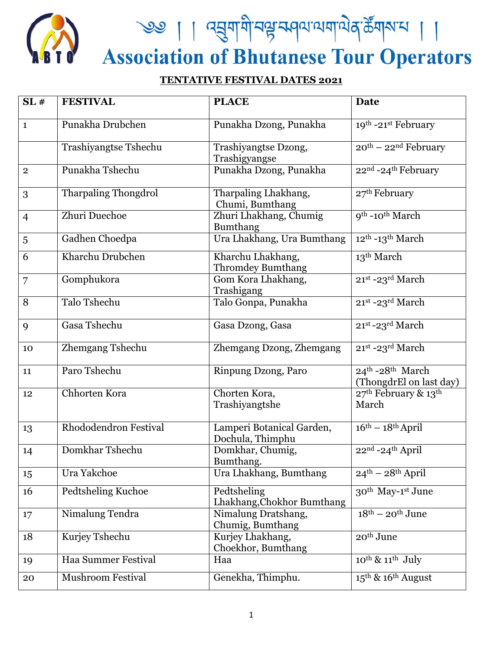

<u>९७ | । द्युयायी प्रभुक्तवयययाये</u> कुर्डेयारा | ।<br>Association of Bhutanese Tour Operators

## **TENTATIVE FESTIVAL DATES 2021**

| SL#            | <b>FESTIVAL</b>              | <b>PLACE</b>                                  | <b>Date</b>                                           |
|----------------|------------------------------|-----------------------------------------------|-------------------------------------------------------|
| $\mathbf{1}$   | Punakha Drubchen             | Punakha Dzong, Punakha                        | 19th -21st February                                   |
|                | <b>Trashiyangtse Tshechu</b> | Trashiyangtse Dzong,<br>Trashigyangse         | $20^{th}$ – $22^{nd}$ February                        |
| $\overline{2}$ | Punakha Tshechu              | Punakha Dzong, Punakha                        | 22nd -24th February                                   |
| 3              | Tharpaling Thongdrol         | Tharpaling Lhakhang,<br>Chumi, Bumthang       | 27 <sup>th</sup> February                             |
| $\overline{4}$ | Zhuri Duechoe                | Zhuri Lhakhang, Chumig<br><b>Bumthang</b>     | 9 <sup>th</sup> -10 <sup>th</sup> March               |
| 5              | Gadhen Choedpa               | Ura Lhakhang, Ura Bumthang                    | 12 <sup>th</sup> -13 <sup>th</sup> March              |
| 6              | Kharchu Drubchen             | Kharchu Lhakhang,<br>Thromdey Bumthang        | 13 <sup>th</sup> March                                |
| 7              | Gomphukora                   | Gom Kora Lhakhang,<br>Trashigang              | 21st -23rd March                                      |
| 8              | Talo Tshechu                 | Talo Gonpa, Punakha                           | 21st -23rd March                                      |
| 9              | Gasa Tshechu                 | Gasa Dzong, Gasa                              | 21st-23rd March                                       |
| 10             | Zhemgang Tshechu             | Zhemgang Dzong, Zhemgang                      | 21st -23rd March                                      |
| 11             | Paro Tshechu                 | Rinpung Dzong, Paro                           | $24th - 28th March$<br>(ThongdrEl on last day)        |
| 12             | Chhorten Kora                | Chorten Kora,<br>Trashiyangtshe               | 27 <sup>th</sup> February & 13 <sup>th</sup><br>March |
| 13             | Rhododendron Festival        | Lamperi Botanical Garden,<br>Dochula, Thimphu | $16th - 18th$ April                                   |
| 14             | Domkhar Tshechu              | Domkhar, Chumig,<br>Bumthang.                 | 22nd -24th April                                      |
| 15             | Ura Yakchoe                  | Ura Lhakhang, Bumthang                        | $24th - 28th$ April                                   |
| 16             | Pedtsheling Kuchoe           | Pedtsheling<br>Lhakhang, Chokhor Bumthang     | 30 <sup>th</sup> May-1 <sup>st</sup> June             |
| $17 \,$        | Nimalung Tendra              | Nimalung Dratshang,<br>Chumig, Bumthang       | $18th - 20th$ June                                    |
| 18             | Kurjey Tshechu               | Kurjey Lhakhang,<br>Choekhor, Bumthang        | 20 <sup>th</sup> June                                 |
| 19             | Haa Summer Festival          | Haa                                           | $10^{th}$ & $11^{th}$ July                            |
| 20             | <b>Mushroom Festival</b>     | Genekha, Thimphu.                             | 15 <sup>th</sup> & 16 <sup>th</sup> August            |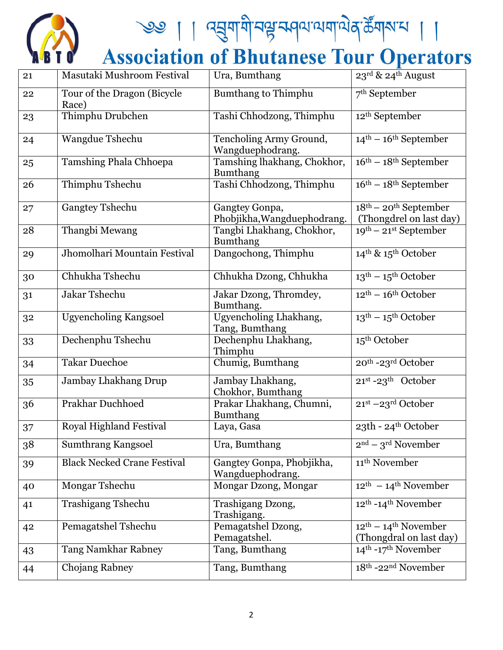

| 21 | Masutaki Mushroom Festival           | Ura, Bumthang                                  | 23rd & 24th August                                 |
|----|--------------------------------------|------------------------------------------------|----------------------------------------------------|
| 22 | Tour of the Dragon (Bicycle<br>Race) | <b>Bumthang to Thimphu</b>                     | 7 <sup>th</sup> September                          |
| 23 | Thimphu Drubchen                     | Tashi Chhodzong, Thimphu                       | 12 <sup>th</sup> September                         |
| 24 | <b>Wangdue Tshechu</b>               | Tencholing Army Ground,<br>Wangduephodrang.    | $14^{\text{th}} - 16^{\text{th}}$ September        |
| 25 | Tamshing Phala Chhoepa               | Tamshing lhakhang, Chokhor,<br><b>Bumthang</b> | $16th - 18th$ September                            |
| 26 | Thimphu Tshechu                      | Tashi Chhodzong, Thimphu                       | $16th - 18th$ September                            |
| 27 | <b>Gangtey Tshechu</b>               | Gangtey Gonpa,<br>Phobjikha, Wangduephodrang.  | $18th - 20th$ September<br>(Thongdrel on last day) |
| 28 | Thangbi Mewang                       | Tangbi Lhakhang, Chokhor,<br><b>Bumthang</b>   | $19^{th}$ – 21 <sup>st</sup> September             |
| 29 | Jhomolhari Mountain Festival         | Dangochong, Thimphu                            | 14 <sup>th</sup> & 15 <sup>th</sup> October        |
| 30 | Chhukha Tshechu                      | Chhukha Dzong, Chhukha                         | $13^{\text{th}} - 15^{\text{th}}$ October          |
| 31 | Jakar Tshechu                        | Jakar Dzong, Thromdey,<br>Bumthang.            | $12^{\text{th}} - 16^{\text{th}}$ October          |
| 32 | <b>Ugyencholing Kangsoel</b>         | Ugyencholing Lhakhang,<br>Tang, Bumthang       | $13th - 15th October$                              |
| 33 | Dechenphu Tshechu                    | Dechenphu Lhakhang,<br>Thimphu                 | 15 <sup>th</sup> October                           |
| 34 | <b>Takar Duechoe</b>                 | Chumig, Bumthang                               | 20th -23rd October                                 |
| 35 | Jambay Lhakhang Drup                 | Jambay Lhakhang,<br>Chokhor, Bumthang          | $21^{st}$ -23 <sup>th</sup> October                |
| 36 | <b>Prakhar Duchhoed</b>              | Prakar Lhakhang, Chumni,<br><b>Bumthang</b>    | 21st -23rd October                                 |
| 37 | <b>Royal Highland Festival</b>       | Laya, Gasa                                     | 23th - 24th October                                |
| 38 | <b>Sumthrang Kangsoel</b>            | Ura, Bumthang                                  | $2nd - 3rd November$                               |
| 39 | <b>Black Necked Crane Festival</b>   | Gangtey Gonpa, Phobjikha,<br>Wangduephodrang.  | 11 <sup>th</sup> November                          |
| 40 | Mongar Tshechu                       | Mongar Dzong, Mongar                           | $12th - 14th$ November                             |
| 41 | <b>Trashigang Tshechu</b>            | Trashigang Dzong,<br>Trashigang.               | 12 <sup>th</sup> -14 <sup>th</sup> November        |
| 42 | Pemagatshel Tshechu                  | Pemagatshel Dzong,<br>Pemagatshel.             | $12th - 14th$ November<br>(Thongdral on last day)  |
| 43 | <b>Tang Namkhar Rabney</b>           | Tang, Bumthang                                 | 14 <sup>th</sup> -17 <sup>th</sup> November        |
| 44 | Chojang Rabney                       | Tang, Bumthang                                 | 18th -22 <sup>nd</sup> November                    |